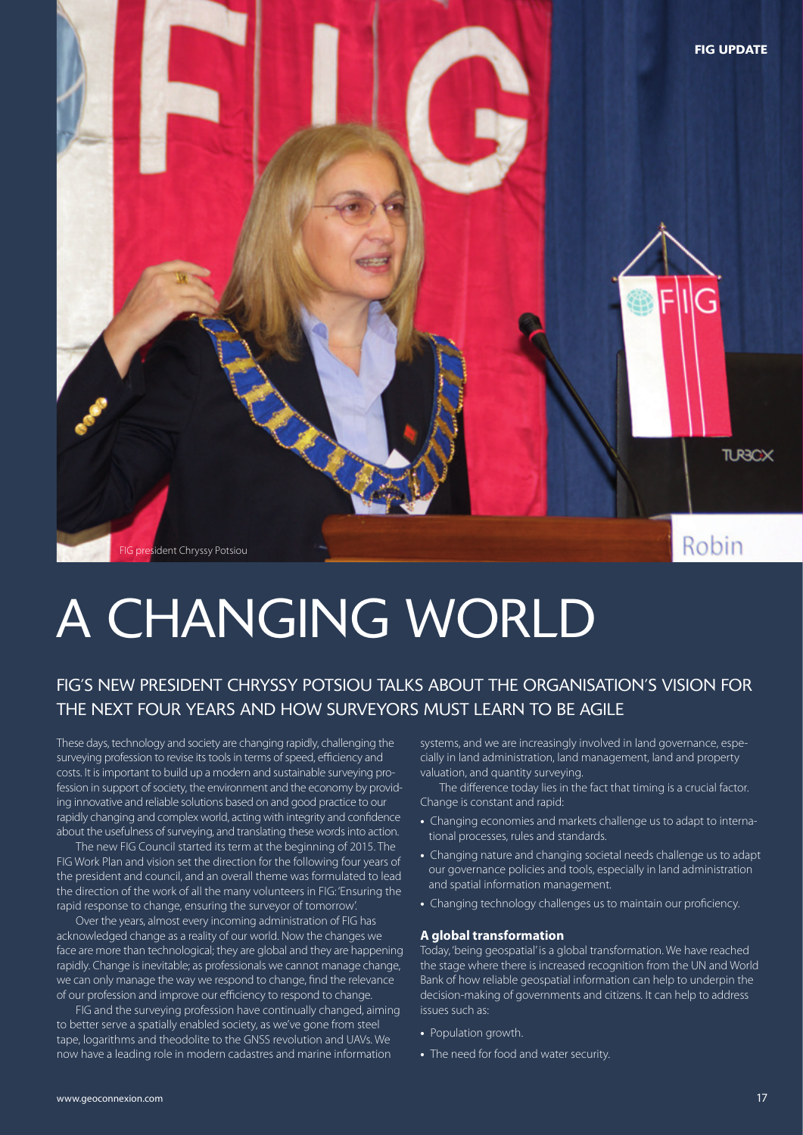

# A CHANGING WORLD

### FIG'S NEW PRESIDENT CHRYSSY POTSIOU TALKS ABOUT THE ORGANISATION'S VISION FOR THE NEXT FOUR YEARS AND HOW SURVEYORS MUST LEARN TO BE AGILE

These days, technology and society are changing rapidly, challenging the surveying profession to revise its tools in terms of speed, efficiency and costs. It is important to build up a modern and sustainable surveying profession in support of society, the environment and the economy by providing innovative and reliable solutions based on and good practice to our rapidly changing and complex world, acting with integrity and confidence about the usefulness of surveying, and translating these words into action.

The new FIG Council started its term at the beginning of 2015. The FIG Work Plan and vision set the direction for the following four years of the president and council, and an overall theme was formulated to lead the direction of the work of all the many volunteers in FIG: 'Ensuring the rapid response to change, ensuring the surveyor of tomorrow'.

Over the years, almost every incoming administration of FIG has acknowledged change as a reality of our world. Now the changes we face are more than technological; they are global and they are happening rapidly. Change is inevitable; as professionals we cannot manage change, we can only manage the way we respond to change, find the relevance of our profession and improve our efficiency to respond to change.

FIG and the surveying profession have continually changed, aiming to better serve a spatially enabled society, as we've gone from steel tape, logarithms and theodolite to the GNSS revolution and UAVs. We now have a leading role in modern cadastres and marine information

systems, and we are increasingly involved in land governance, especially in land administration, land management, land and property valuation, and quantity surveying.

The difference today lies in the fact that timing is a crucial factor. Change is constant and rapid:

- **•** Changing economies and markets challenge us to adapt to international processes, rules and standards.
- **•** Changing nature and changing societal needs challenge us to adapt our governance policies and tools, especially in land administration and spatial information management.
- **•** Changing technology challenges us to maintain our proficiency.

#### **A global transformation**

Today, 'being geospatial' is a global transformation. We have reached the stage where there is increased recognition from the UN and World Bank of how reliable geospatial information can help to underpin the decision-making of governments and citizens. It can help to address issues such as:

- **•** Population growth.
- **•** The need for food and water security.